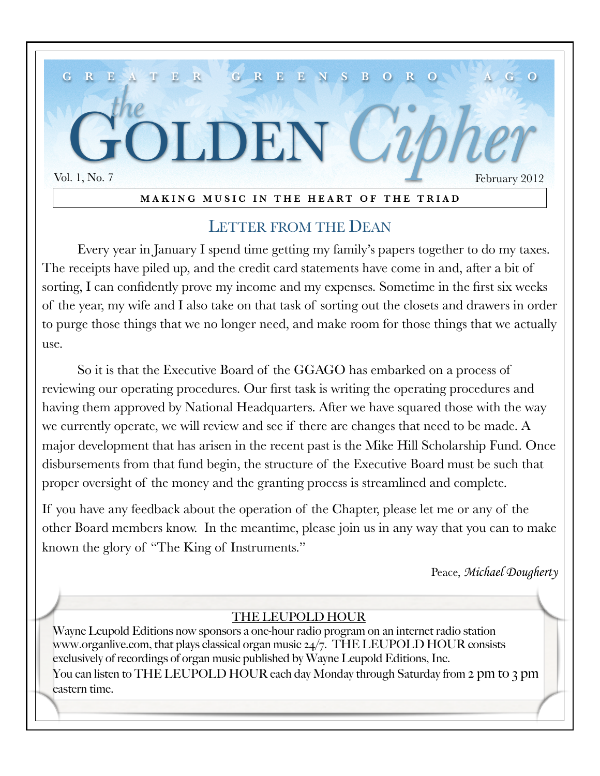

#### **MAKING MUSIC IN THE HEART OF THE TRIAD**

### LETTER FROM THE DEAN

Every year in January I spend time getting my family's papers together to do my taxes. The receipts have piled up, and the credit card statements have come in and, after a bit of sorting, I can confidently prove my income and my expenses. Sometime in the first six weeks of the year, my wife and I also take on that task of sorting out the closets and drawers in order to purge those things that we no longer need, and make room for those things that we actually use.

So it is that the Executive Board of the GGAGO has embarked on a process of reviewing our operating procedures. Our first task is writing the operating procedures and having them approved by National Headquarters. After we have squared those with the way we currently operate, we will review and see if there are changes that need to be made. A major development that has arisen in the recent past is the Mike Hill Scholarship Fund. Once disbursements from that fund begin, the structure of the Executive Board must be such that proper oversight of the money and the granting process is streamlined and complete.

If you have any feedback about the operation of the Chapter, please let me or any of the other Board members know. In the meantime, please join us in any way that you can to make known the glory of "The King of Instruments."

Peace, *Michael Dougherty*

### THE LEUPOLD HOUR

Wayne Leupold Editions now sponsors a one-hour radio program on an internet radio station [www.organlive.com,](http://www.organlive.com/) that plays classical organ music 24/7. THE LEUPOLD HOUR consists exclusively of recordings of organ music published by Wayne Leupold Editions, Inc. You can listen to THE LEUPOLD HOUR each day Monday through Saturday from 2 pm to 3 pm eastern time.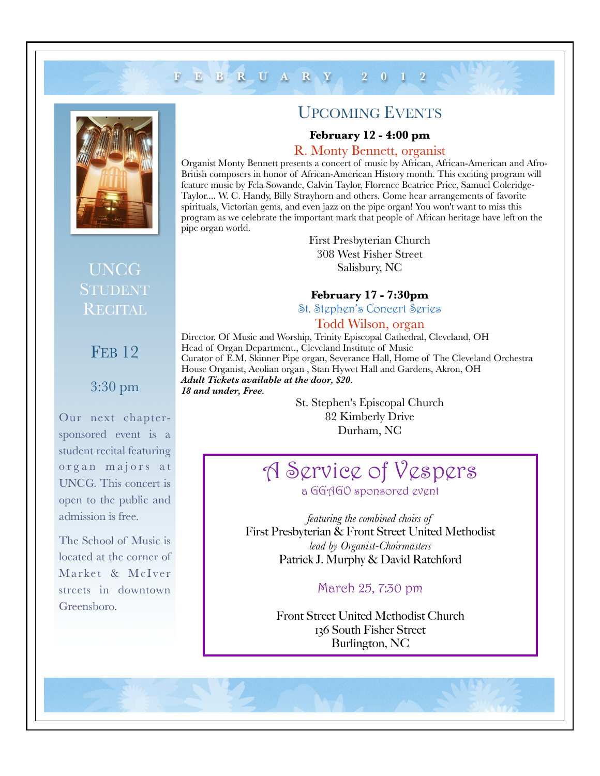## **FEBRUARY 2012**



### UPCOMING EVENTS

#### **February 12 - 4:00 pm**

#### R. Monty Bennett, organist

Organist Monty Bennett presents a concert of music by African, African-American and Afro-British composers in honor of African-American History month. This exciting program will feature music by Fela Sowande, Calvin Taylor, Florence Beatrice Price, Samuel Coleridge-Taylor.... W. C. Handy, Billy Strayhorn and others. Come hear arrangements of favorite spirituals, Victorian gems, and even jazz on the pipe organ! You won't want to miss this program as we celebrate the important mark that people of African heritage have left on the pipe organ world.

> First Presbyterian Church 308 West Fisher Street Salisbury, NC

**February 17 - 7:30pm**

St. Stephen's Concert Series

#### Todd Wilson, organ

Director. Of Music and Worship, Trinity Episcopal Cathedral, Cleveland, OH Head of Organ Department., Cleveland Institute of Music Curator of E.M. Skinner Pipe organ, Severance Hall, Home of The Cleveland Orchestra House Organist, Aeolian organ , Stan Hywet Hall and Gardens, Akron, OH *Adult Tickets available at the door, \$20. 18 and under, Free.*

> St. Stephen's Episcopal Church 82 Kimberly Drive Durham, NC

# A Service of Vespers a GGAGO sponsored event

*featuring the combined choirs of*  First Presbyterian & Front Street United Methodist *lead by Organist-Choirmasters* Patrick J. Murphy & David Ratchford

#### March 25, 7:30 pm

Front Street United Methodist Church 136 South Fisher Street Burlington, NC

**FEB 12** 

UNCG

RECITAL

### 3:30 pm

Our next chaptersponsored event is a student recital featuring organ majors at UNCG. This concert is open to the public and admission is free.

The School of Music is located at the corner of Market & McIver streets in downtown Greensboro.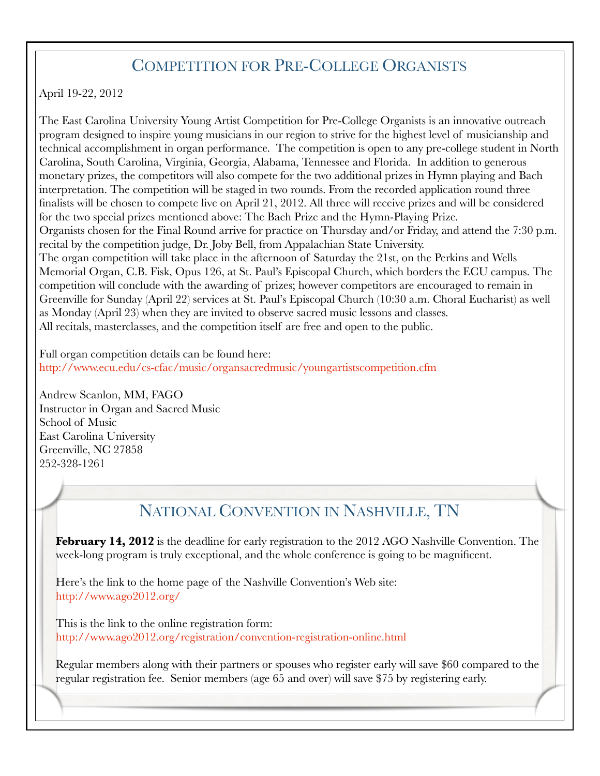## COMPETITION FOR PRE-COLLEGE ORGANISTS

April 19-22, 2012

The East Carolina University Young Artist Competition for Pre-College Organists is an innovative outreach program designed to inspire young musicians in our region to strive for the highest level of musicianship and technical accomplishment in organ performance. The competition is open to any pre-college student in North Carolina, South Carolina, Virginia, Georgia, Alabama, Tennessee and Florida. In addition to generous monetary prizes, the competitors will also compete for the two additional prizes in Hymn playing and Bach interpretation. The competition will be staged in two rounds. From the recorded application round three finalists will be chosen to compete live on April 21, 2012. All three will receive prizes and will be considered for the two special prizes mentioned above: The Bach Prize and the Hymn-Playing Prize. Organists chosen for the Final Round arrive for practice on Thursday and/or Friday, and attend the 7:30 p.m. recital by the competition judge, Dr. Joby Bell, from Appalachian State University. The organ competition will take place in the afternoon of Saturday the 21st, on the Perkins and Wells Memorial Organ, C.B. Fisk, Opus 126, at St. Paul's Episcopal Church, which borders the ECU campus. The competition will conclude with the awarding of prizes; however competitors are encouraged to remain in Greenville for Sunday (April 22) services at St. Paul's Episcopal Church (10:30 a.m. Choral Eucharist) as well as Monday (April 23) when they are invited to observe sacred music lessons and classes. All recitals, masterclasses, and the competition itself are free and open to the public.

Full organ competition details can be found here: <http://www.ecu.edu/cs-cfac/music/organsacredmusic/youngartistscompetition.cfm>

Andrew Scanlon, MM, FAGO Instructor in Organ and Sacred Music School of Music East Carolina University Greenville, NC 27858 252-328-1261

# NATIONAL CONVENTION IN NASHVILLE, TN

**February 14, 2012** is the deadline for early registration to the 2012 AGO Nashville Convention. The week-long program is truly exceptional, and the whole conference is going to be magnificent.

Here's the link to the home page of the Nashville Convention's Web site: <http://www.ago2012.org/>

This is the link to the online registration form: <http://www.ago2012.org/registration/convention-registration-online.html>

Regular members along with their partners or spouses who register early will save \$60 compared to the regular registration fee. Senior members (age 65 and over) will save \$75 by registering early.